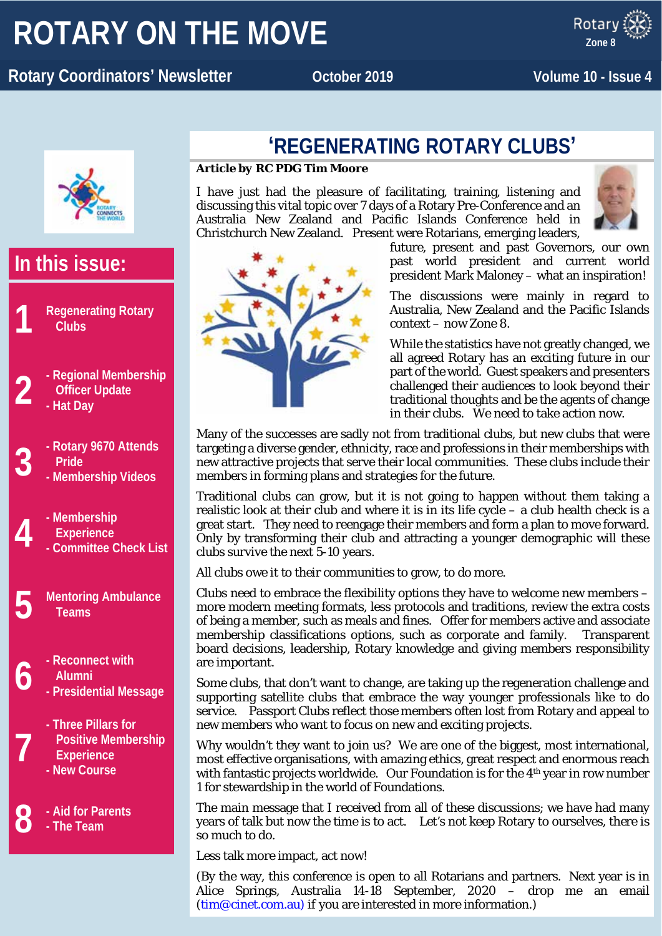# **ROTARY ON THE MOVE**

#### x ROTARY **Rotary Coordinators' Newsletter and Cooper 2019 Volume 10 - Issue 4**

**Zone 8**



# **In this issue:**

- **1 Regenerating Rotary Clubs**
- **2 - Regional Membership Officer Update**
	- **- Hat Day**
- **3 - Rotary 9670 Attends - Membership Videos Pride**
	-
- **4 - Membership - Committee Check List Experience**
	- **5 Mentoring Ambulance Teams**
- **6 - Reconnect with - Presidential Message Alumni**
	-
	- **- Three Pillars for Positive Membership Experience**
	- **- New Course**

**7**

**8 - Aid for Parents**

**- The Team**

## **'REGENERATING ROTARY CLUBS'**

#### *Article by RC PDG Tim Moore*

I have just had the pleasure of facilitating, training, listening and discussing this vital topic over 7 days of a Rotary Pre-Conference and an Australia New Zealand and Pacific Islands Conference held in Christchurch New Zealand. Present were Rotarians, emerging leaders,



future, present and past Governors, our own past world president and current world president Mark Maloney – what an inspiration!

The discussions were mainly in regard to Australia, New Zealand and the Pacific Islands context – now Zone 8.

While the statistics have not greatly changed, we all agreed Rotary has an exciting future in our part of the world. Guest speakers and presenters challenged their audiences to look beyond their traditional thoughts and be the agents of change in their clubs. We need to take action now.

Many of the successes are sadly not from traditional clubs, but new clubs that were targeting a diverse gender, ethnicity, race and professions in their memberships with new attractive projects that serve their local communities. These clubs include their members in forming plans and strategies for the future.

Traditional clubs can grow, but it is not going to happen without them taking a realistic look at their club and where it is in its life cycle – a club health check is a great start. They need to reengage their members and form a plan to move forward. Only by transforming their club and attracting a younger demographic will these clubs survive the next 5-10 years.

All clubs owe it to their communities to grow, to do more.

Clubs need to embrace the flexibility options they have to welcome new members – more modern meeting formats, less protocols and traditions, review the extra costs of being a member, such as meals and fines. Offer for members active and associate membership classifications options, such as corporate and family. Transparent board decisions, leadership, Rotary knowledge and giving members responsibility are important.

Some clubs, that don't want to change, are taking up the regeneration challenge and supporting satellite clubs that embrace the way younger professionals like to do service. Passport Clubs reflect those members often lost from Rotary and appeal to new members who want to focus on new and exciting projects.

Why wouldn't they want to join us? We are one of the biggest, most international, most effective organisations, with amazing ethics, great respect and enormous reach with fantastic projects worldwide. Our Foundation is for the 4<sup>th</sup> year in row number 1 for stewardship in the world of Foundations.

The main message that I received from all of these discussions; we have had many years of talk but now the time is to act. Let's not keep Rotary to ourselves, there is so much to do.

Less talk more impact, act now!

(By the way, this conference is open to all Rotarians and partners. Next year is in Alice Springs, Australia 14-18 September, 2020 – drop me an email [\(tim@cinet.com.au\)](mailto:tim@cinet.com.au) if you are interested in more information.)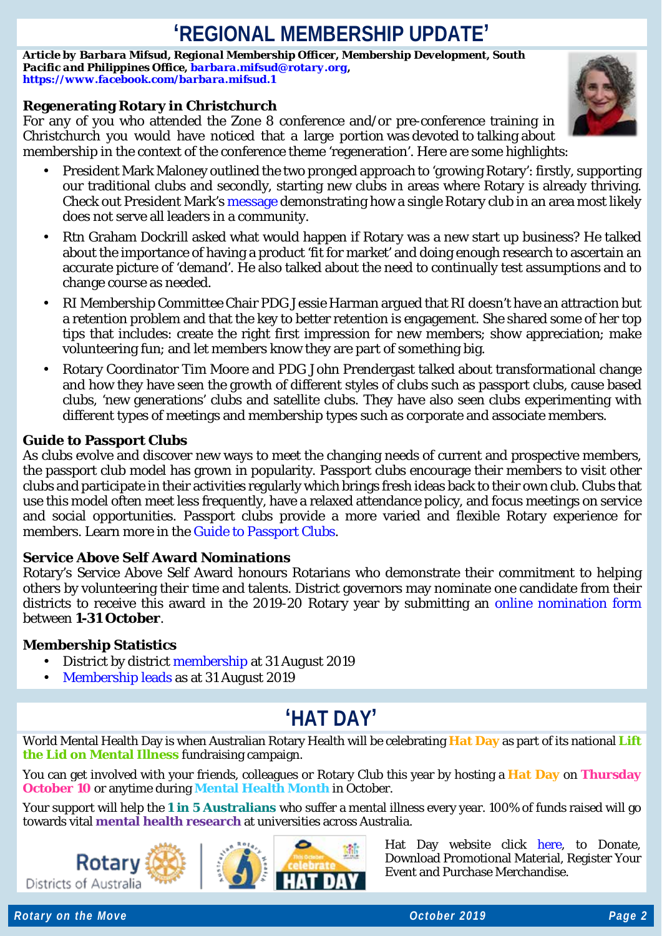# **'REGIONAL MEMBERSHIP UPDATE'**

*Article by Barbara Mifsud, Regional Membership Officer, Membership Development, South Pacific and Philippines Office, [barbara.mifsud@rotary.org,](mailto:barbara.mifsud@rotary.org) <https://www.facebook.com/barbara.mifsud.1>*

### **Regenerating Rotary in Christchurch**

For any of you who attended the Zone 8 conference and/or pre-conference training in Christchurch you would have noticed that a large portion was devoted to talking about membership in the context of the conference theme 'regeneration'. Here are some highlights:

- President Mark Maloney outlined the two pronged approach to 'growing Rotary': firstly, supporting our traditional clubs and secondly, starting new clubs in areas where Rotary is already thriving. Check out President Mark's [message](https://www.facebook.com/RotaryPresident/videos/369014940481614/) demonstrating how a single Rotary club in an area most likely does not serve all leaders in a community.
- Rtn Graham Dockrill asked what would happen if Rotary was a new start up business? He talked about the importance of having a product 'fit for market' and doing enough research to ascertain an accurate picture of 'demand'. He also talked about the need to continually test assumptions and to change course as needed.
- RI Membership Committee Chair PDG Jessie Harman argued that RI doesn't have an attraction but a retention problem and that the key to better retention is engagement. She shared some of her top tips that includes: create the right first impression for new members; show appreciation; make volunteering fun; and let members know they are part of something big.
- Rotary Coordinator Tim Moore and PDG John Prendergast talked about transformational change and how they have seen the growth of different styles of clubs such as passport clubs, cause based clubs, 'new generations' clubs and satellite clubs. They have also seen clubs experimenting with different types of meetings and membership types such as corporate and associate members.

### **Guide to Passport Clubs**

As clubs evolve and discover new ways to meet the changing needs of current and prospective members, the passport club model has grown in popularity. Passport clubs encourage their members to visit other clubs and participate in their activities regularly which brings fresh ideas back to their own club. Clubs that use this model often meet less frequently, have a relaxed attendance policy, and focus meetings on service and social opportunities. Passport clubs provide a more varied and flexible Rotary experience for members. Learn more in the [Guide to Passport Clubs.](https://my.rotary.org/en/document/guide-passport-clubs)

### **Service Above Self Award Nominations**

Rotary's Service Above Self Award honours Rotarians who demonstrate their commitment to helping others by volunteering their time and talents. District governors may nominate one candidate from their districts to receive this award in the 2019-20 Rotary year by submitting an [online nomination form](https://rotary.qualtrics.com/jfe/form/SV_3QqKGOfQReFIluJ) between **1-31 October**.

### **Membership Statistics**

- District by district [membership](https://www.dropbox.com/s/m2o3ik22rv6nk74/20190927%20-%20Zone%208%20-%20DistrictMembershipProgressToGoal%20%2835%29.pdf?dl=0) at 31 August 2019
- [Membership leads](https://www.dropbox.com/s/0s2os9gwyce4ng1/20190927%20-%20Zone%208%20-%20RMO_Membership_Leads_Success_Report%20%2846%29.pdf?dl=0) as at 31 August 2019

# **'HAT DAY'**

World Mental Health Day is when Australian Rotary Health will be celebrating **Hat Day** as part of its national **Lift the Lid on Mental Illness** fundraising campaign.

You can get involved with your friends, colleagues or Rotary Club this year by hosting a **Hat Day** on **Thursday October 10** or anytime during **Mental Health Month** in October.

Your support will help the **1 in 5 Australians** who suffer a mental illness every year. 100% of funds raised will go towards vital **mental health research** at universities across Australia.







Hat Day website click [here,](https://hatday.com.au/) to Donate, Download Promotional Material, Register Your Event and Purchase Merchandise.

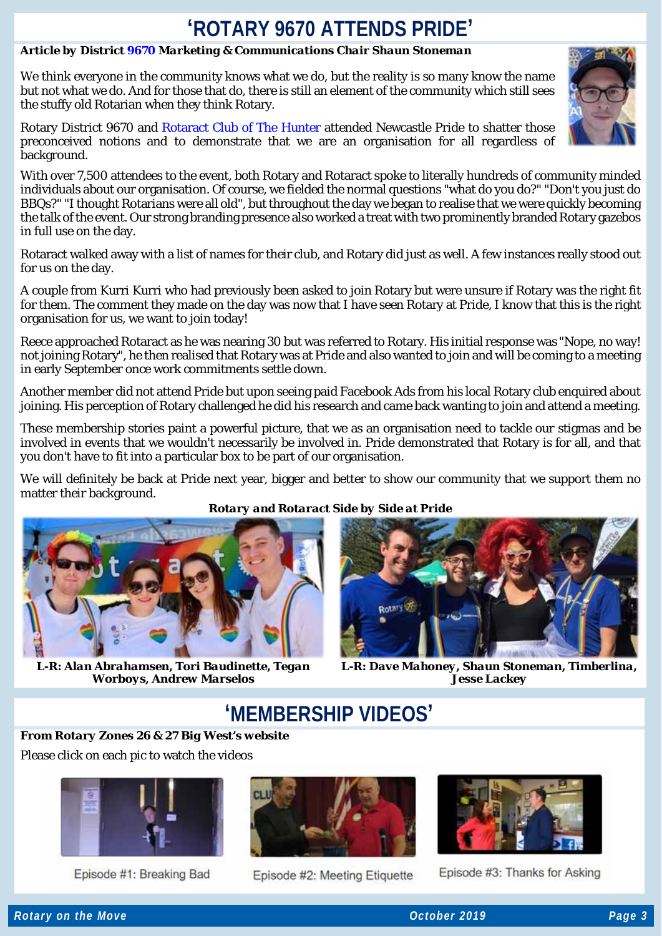## **'ROTARY 9670 ATTENDS PRIDE'**

### *Article by District [9670](https://www.rotary9670.org.au/) Marketing & Communications Chair Shaun Stoneman*

We think everyone in the community knows what we do, but the reality is so many know the name but not what we do. And for those that do, there is still an element of the community which still sees the stuffy old Rotarian when they think Rotary.

Rotary District 9670 and Rotaract Club of The Hunter attended Newcastle Pride to shatter those preconceived notions and to demonstrate that we are an organisation for all regardless of background.

With over 7,500 attendees to the event, both Rotary and Rotaract spoke to literally hundreds of community minded individuals about our organisation. Of course, we fielded the normal questions "what do you do?" "Don't you just do BBQs?" "I thought Rotarians were all old", but throughout the day we began to realise that we were quickly becoming the talk of the event. Our strong branding presence also worked a treat with two prominently branded Rotary gazebos in full use on the day.

Rotaract walked away with a list of names for their club, and Rotary did just as well. A few instances really stood out for us on the day.

A couple from Kurri Kurri who had previously been asked to join Rotary but were unsure if Rotary was the right fit for them. The comment they made on the day was now that I have seen Rotary at Pride, I know that this is the right organisation for us, we want to join today!

Reece approached Rotaract as he was nearing 30 but was referred to Rotary. His initial response was "Nope, no way! not joining Rotary", he then realised that Rotary was at Pride and also wanted to join and will be coming to a meeting in early September once work commitments settle down.

Another member did not attend Pride but upon seeing paid Facebook Ads from his local Rotary club enquired about joining. His perception of Rotary challenged he did his research and came back wanting to join and attend a meeting.

These membership stories paint a powerful picture, that we as an organisation need to tackle our stigmas and be involved in events that we wouldn't necessarily be involved in. Pride demonstrated that Rotary is for all, and that you don't have to fit into a particular box to be part of our organisation.

We will definitely be back at Pride next year, bigger and better to show our community that we support them no matter their background.



*L-R: Alan Abrahamsen, Tori Baudinette, Tegan Worboys, Andrew Marselos*

### *Rotary and Rotaract Side by Side at Pride*



*L-R: Dave Mahoney, Shaun Stoneman, Timberlina, Jesse Lackey*

### **'MEMBERSHIP VIDEOS'**

*From Rotary Zones 26 & 27 Big West's website*

Please click on each pic to watch the vid[eos](https://www.dropbox.com/s/59g8pf3kpp85oi0/Rotary%20District%205180%20Membership%20Video%20%232.mp4?dl=0)



Episode #1: Breaking Bad



Episode #2: Meeting Etiquette



Episode #3: Thanks for Asking

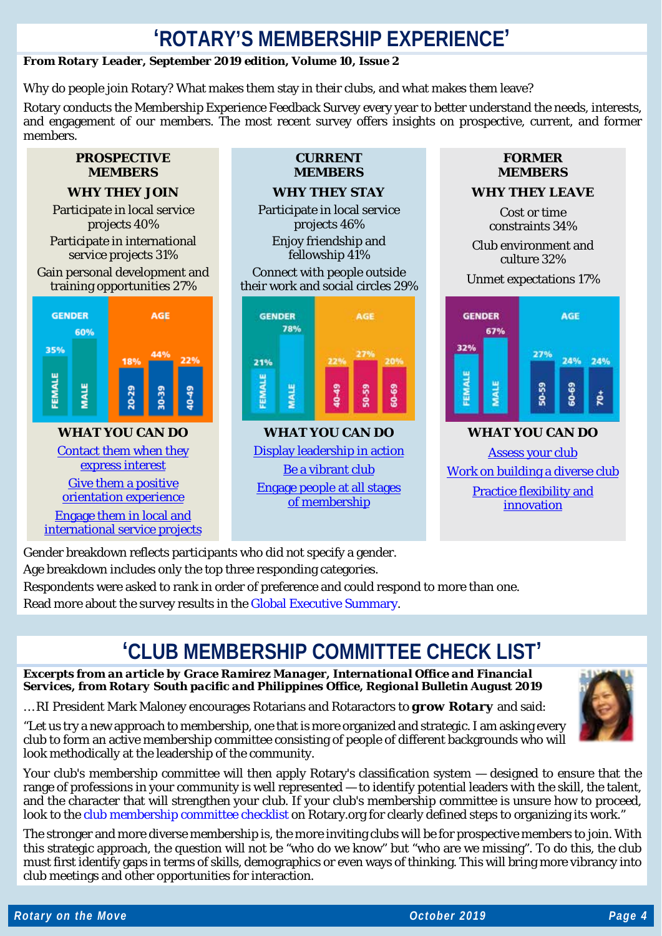### **'ROTARY'S MEMBERSHIP EXPERIENCE'**

### *From Rotary Leader, September 2019 edition, Volume 10, Issue 2*

Why do people join Rotary? What makes them stay in their clubs, and what makes them leave?

Rotary conducts the Membership Experience Feedback Survey every year to better understand the needs, interests, and engagement of our members. The most recent survey offers insights on prospective, current, and former members.

### **PROSPECTIVE MEMBERS**

### **WHY THEY JOIN**

Participate in local service projects 40%

Participate in international service projects 31%

Gain personal development and training opportunities 27%



### [Contact them when they](http://www.rotaryleader-en.org/rotaryleader-en/en/TrackLink.action?pageName=6&exitLink=https%3A%2F%2Fmy.rotary.org%2Fen%2Fdocument%2Fcreating-positive-experience-prospective-members) [express interest](http://www.rotaryleader-en.org/rotaryleader-en/en/TrackLink.action?pageName=6&exitLink=https%3A%2F%2Fmy.rotary.org%2Fen%2Fdocument%2Fcreating-positive-experience-prospective-members) [Give them a positive](http://www.rotaryleader-en.org/rotaryleader-en/en/TrackLink.action?pageName=6&exitLink=https%3A%2F%2Fmy.rotary.org%2Fen%2Fdocument%2Fnew-member-orientation-how-guide-clubs)

[orientation experience](http://www.rotaryleader-en.org/rotaryleader-en/en/TrackLink.action?pageName=6&exitLink=https%3A%2F%2Fmy.rotary.org%2Fen%2Fdocument%2Fnew-member-orientation-how-guide-clubs) [Engage them in local and](http://www.rotaryleader-en.org/rotaryleader-en/en/TrackLink.action?pageName=6&exitLink=https%3A%2F%2Fmy.rotary.org%2Fen%2Ftake-action%2Fdevelop-projects%2Fproject-lifecycle-resources) [international service projects](http://www.rotaryleader-en.org/rotaryleader-en/en/TrackLink.action?pageName=6&exitLink=https%3A%2F%2Fmy.rotary.org%2Fen%2Ftake-action%2Fdevelop-projects%2Fproject-lifecycle-resources)

#### **CURRENT MEMBERS**

#### **WHY THEY STAY**

Participate in local service projects 46% Enjoy friendship and

fellowship 41%

Connect with people outside their work and social circles 29%



**WHAT YOU CAN DO** [Display leadership in action](http://www.rotaryleader-en.org/rotaryleader-en/en/TrackLink.action?pageName=6&exitLink=https%3A%2F%2Fmy.rotary.org%2Fen%2Fdocument%2Fleadership-action-your-guide-starting-program) [Be a vibrant club](http://www.rotaryleader-en.org/rotaryleader-en/en/TrackLink.action?pageName=6&exitLink=https%3A%2F%2Fmy.rotary.org%2Fen%2Flearning-reference%2Flearn-topic%2Fregional-strategy-membership) [Engage people at all stages](http://www.rotaryleader-en.org/rotaryleader-en/en/TrackLink.action?pageName=6&exitLink=https%3A%2F%2Fmy.rotary.org%2Fen%2Fdocument%2Fconnect-good) [of membership](http://www.rotaryleader-en.org/rotaryleader-en/en/TrackLink.action?pageName=6&exitLink=https%3A%2F%2Fmy.rotary.org%2Fen%2Fdocument%2Fconnect-good)

### **FORMER MEMBERS**

### **WHY THEY LEAVE**

Cost or time constraints 34%

Club environment and culture 32%

Unmet expectations 17%



### **WHAT YOU CAN DO** [Assess your club](http://www.rotaryleader-en.org/rotaryleader-en/en/TrackLink.action?pageName=6&exitLink=https%3A%2F%2Fmy.rotary.org%2Fen%2Flearning-reference%2Flearn-topic%2Fmembership%23assess) [Work on building a diverse club](http://www.rotaryleader-en.org/rotaryleader-en/en/TrackLink.action?pageName=6&exitLink=https%3A%2F%2Fwww.rotary.org%2Flearn%3Fdeep-link%3Dhttps%253A%2F%2Flearn.rotary.org%2Fmembers%253Fr%253Dsite%2Fsso%2526sso_type%253Dsaml%2526id_course%253D42) [Practice flexibility and](http://www.rotaryleader-en.org/rotaryleader-en/en/TrackLink.action?pageName=6&exitLink=https%3A%2F%2Flearn.rotary.org%2Fmembers%2Flearn%2Fcourse%2Fview%2Felearning%2F60%2FPracticingFlexibilityandInnovation)  [innovation](http://www.rotaryleader-en.org/rotaryleader-en/en/TrackLink.action?pageName=6&exitLink=https%3A%2F%2Flearn.rotary.org%2Fmembers%2Flearn%2Fcourse%2Fview%2Felearning%2F60%2FPracticingFlexibilityandInnovation)

Gender breakdown reflects participants who did not specify a gender.

Age breakdown includes only the top three responding categories.

Respondents were asked to rank in order of preference and could respond to more than one.

Read more about the survey results in th[e Global Executive Summary.](http://www.rotaryleader-en.org/rotaryleader-en/en/TrackLink.action?pageName=6&exitLink=http%3A%2F%2Fmsgfocus.rotary.org%2Ffiles%2Famf_highroad_solution%2Fuser_81%2FGlobal_Regional_exec_summary%2FGlobal_RegionalExecSummary_EN.pdf)

# **'CLUB MEMBERSHIP COMMITTEE CHECK LIST'**

*Excerpts from an article by Grace Ramirez Manager, International Office and Financial Services, from Rotary South pacific and Philippines Office, Regional Bulletin August 2019*

… RI President Mark Maloney encourages Rotarians and Rotaractors to *grow Rotary* and said:

"Let us try a new approach to membership, one that is more organized and strategic. I am asking every club to form an active membership committee consisting of people of different backgrounds who will look methodically at the leadership of the community.

Your club's membership committee will then apply Rotary's classification system — designed to ensure that the range of professions in your community is well represented — to identify potential leaders with the skill, the talent, and the character that will strengthen your club. If your club's membership committee is unsure how to proceed, look to the [club membership committee checklist](https://my.rotary.org/en/document/club-membership-committee-checklist) on Rotary.org for clearly defined steps to organizing its work."

The stronger and more diverse membership is, the more inviting clubs will be for prospective members to join. With this strategic approach, the question will not be "who do we know" but "who are we missing". To do this, the club must first identify gaps in terms of skills, demographics or even ways of thinking. This will bring more vibrancy into club meetings and other opportunities for interaction.

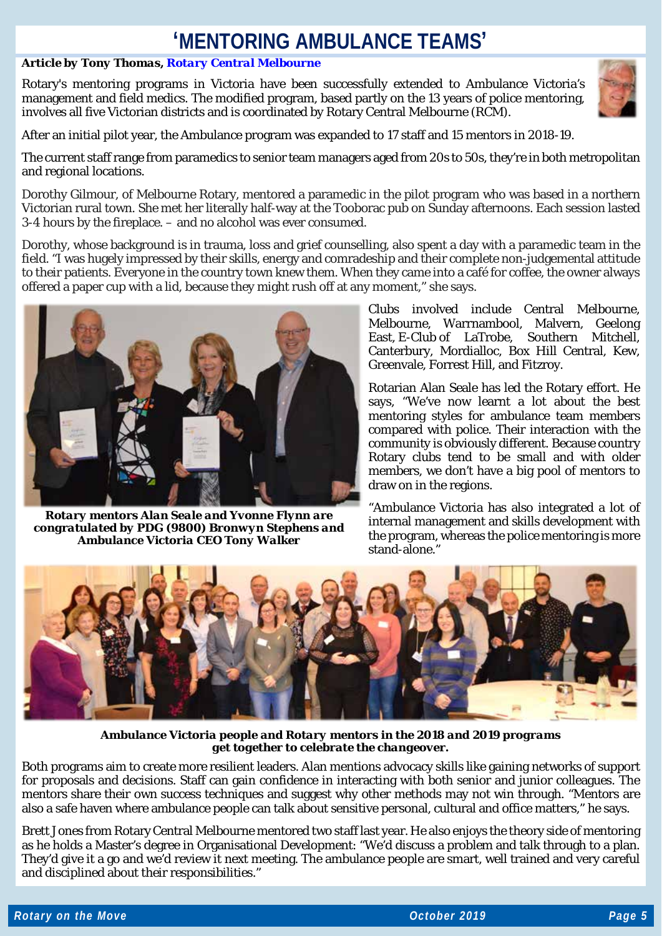# **'MENTORING AMBULANCE TEAMS'**

### *Article by Tony Thomas[, Rotary Central Melbourne](https://www.rotaryclubcentralmelbourne.org.au/)*

Rotary's mentoring programs in Victoria have been successfully extended to Ambulance Victoria's management and field medics. The modified program, based partly on the 13 years of police mentoring, involves all five Victorian districts and is coordinated by Rotary Central Melbourne (RCM).



After an initial pilot year, the Ambulance program was expanded to 17 staff and 15 mentors in 2018-19.

The current staff range from paramedics to senior team managers aged from 20s to 50s, they're in both metropolitan and regional locations.

Dorothy Gilmour, of Melbourne Rotary, mentored a paramedic in the pilot program who was based in a northern Victorian rural town. She met her literally half-way at the Tooborac pub on Sunday afternoons. Each session lasted 3-4 hours by the fireplace. – and no alcohol was ever consumed.

Dorothy, whose background is in trauma, loss and grief counselling, also spent a day with a paramedic team in the field. "I was hugely impressed by their skills, energy and comradeship and their complete non-judgemental attitude to their patients. Everyone in the country town knew them. When they came into a café for coffee, the owner always offered a paper cup with a lid, because they might rush off at any moment," she says.



*Rotary mentors Alan Seale and Yvonne Flynn are congratulated by PDG (9800) Bronwyn Stephens and Ambulance Victoria CEO Tony Walker*

Clubs involved include Central Melbourne, Melbourne, Warrnambool, Malvern, Geelong East, E-Club of LaTrobe, Southern Mitchell, Canterbury, Mordialloc, Box Hill Central, Kew, Greenvale, Forrest Hill, and Fitzroy.

Rotarian Alan Seale has led the Rotary effort. He says, "We've now learnt a lot about the best mentoring styles for ambulance team members compared with police. Their interaction with the community is obviously different. Because country Rotary clubs tend to be small and with older members, we don't have a big pool of mentors to draw on in the regions.

"Ambulance Victoria has also integrated a lot of internal management and skills development with the program, whereas the police mentoring is more stand-alone.'



*Ambulance Victoria people and Rotary mentors in the 2018 and 2019 programs get together to celebrate the changeover.*

Both programs aim to create more resilient leaders. Alan mentions advocacy skills like gaining networks of support for proposals and decisions. Staff can gain confidence in interacting with both senior and junior colleagues. The mentors share their own success techniques and suggest why other methods may not win through. "Mentors are also a safe haven where ambulance people can talk about sensitive personal, cultural and office matters," he says.

Brett Jones from Rotary Central Melbourne mentored two staff last year. He also enjoys the theory side of mentoring as he holds a Master's degree in Organisational Development: "We'd discuss a problem and talk through to a plan. They'd give it a go and we'd review it next meeting. The ambulance people are smart, well trained and very careful and disciplined about their responsibilities."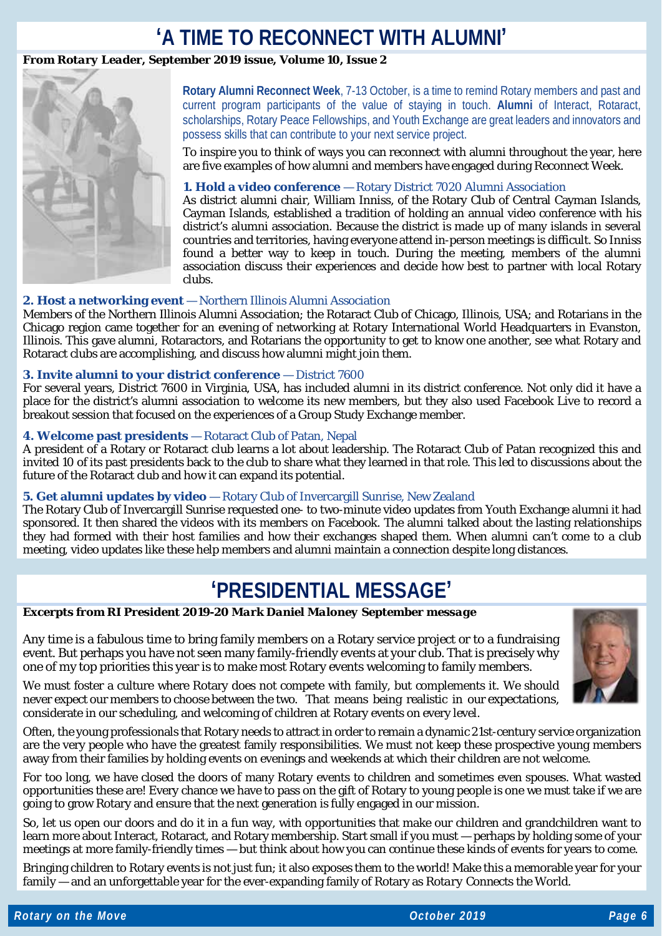## **'A TIME TO RECONNECT WITH ALUMNI'**

### *From Rotary Leader, September 2019 issue, Volume 10, Issue 2*



**Rotary Alumni Reconnect Week**, 7-13 October, is a time to remind Rotary members and past and current program participants of the value of staying in touch. **Alumni** of Interact, Rotaract, scholarships, Rotary Peace Fellowships, and Youth Exchange are great leaders and innovators and possess skills that can contribute to your next service project.

To inspire you to think of ways you can reconnect with alumni throughout the year, here are five examples of how alumni and members have engaged during Reconnect Week.

### **1. Hold a video conference** — Rotary District 7020 Alumni Association

As district alumni chair, William Inniss, of the Rotary Club of Central Cayman Islands, Cayman Islands, established a tradition of holding an annual video conference with his district's alumni association. Because the district is made up of many islands in several countries and territories, having everyone attend in-person meetings is difficult. So Inniss found a better way to keep in touch. During the meeting, members of the alumni association discuss their experiences and decide how best to partner with local Rotary clubs.

### **2. Host a networking event** — Northern Illinois Alumni Association

Members of the Northern Illinois Alumni Association; the Rotaract Club of Chicago, Illinois, USA; and Rotarians in the Chicago region came together for an evening of networking at Rotary International World Headquarters in Evanston, Illinois. This gave alumni, Rotaractors, and Rotarians the opportunity to get to know one another, see what Rotary and Rotaract clubs are accomplishing, and discuss how alumni might join them.

### **3. Invite alumni to your district conference** — District 7600

For several years, District 7600 in Virginia, USA, has included alumni in its district conference. Not only did it have a place for the district's alumni association to welcome its new members, but they also used Facebook Live to record a breakout session that focused on the experiences of a Group Study Exchange member.

### **4. Welcome past presidents** — Rotaract Club of Patan, Nepal

A president of a Rotary or Rotaract club learns a lot about leadership. The Rotaract Club of Patan recognized this and invited 10 of its past presidents back to the club to share what they learned in that role. This led to discussions about the future of the Rotaract club and how it can expand its potential.

### **5. Get alumni updates by video** — Rotary Club of Invercargill Sunrise, New Zealand

The Rotary Club of Invercargill Sunrise requested one- to two-minute video updates from Youth Exchange alumni it had sponsored. It then shared the videos with its members on Facebook. The alumni talked about the lasting relationships they had formed with their host families and how their exchanges shaped them. When alumni can't come to a club meeting, video updates like these help members and alumni maintain a connection despite long distances.

# **'PRESIDENTIAL MESSAGE'**

### *Excerpts from RI President 2019-20 Mark Daniel Maloney September message*

Any time is a fabulous time to bring family members on a Rotary service project or to a fundraising event. But perhaps you have not seen many family-friendly events at your club. That is precisely why one of my top priorities this year is to make most Rotary events welcoming to family members.



We must foster a culture where Rotary does not compete with family, but complements it. We should never expect our members to choose between the two. That means being realistic in our expectations, considerate in our scheduling, and welcoming of children at Rotary events on every level.

Often, the young professionals that Rotary needs to attract in order to remain a dynamic 21st-century service organization are the very people who have the greatest family responsibilities. We must not keep these prospective young members away from their families by holding events on evenings and weekends at which their children are not welcome.

For too long, we have closed the doors of many Rotary events to children and sometimes even spouses. What wasted opportunities these are! Every chance we have to pass on the gift of Rotary to young people is one we must take if we are going to grow Rotary and ensure that the next generation is fully engaged in our mission.

So, let us open our doors and do it in a fun way, with opportunities that make our children and grandchildren want to learn more about Interact, Rotaract, and Rotary membership. Start small if you must — perhaps by holding some of your meetings at more family-friendly times — but think about how you can continue these kinds of events for years to come.

Bringing children to Rotary events is not just fun; it also exposes them to the world! Make this a memorable year for your family — and an unforgettable year for the ever-expanding family of Rotary as *Rotary Connects the World*.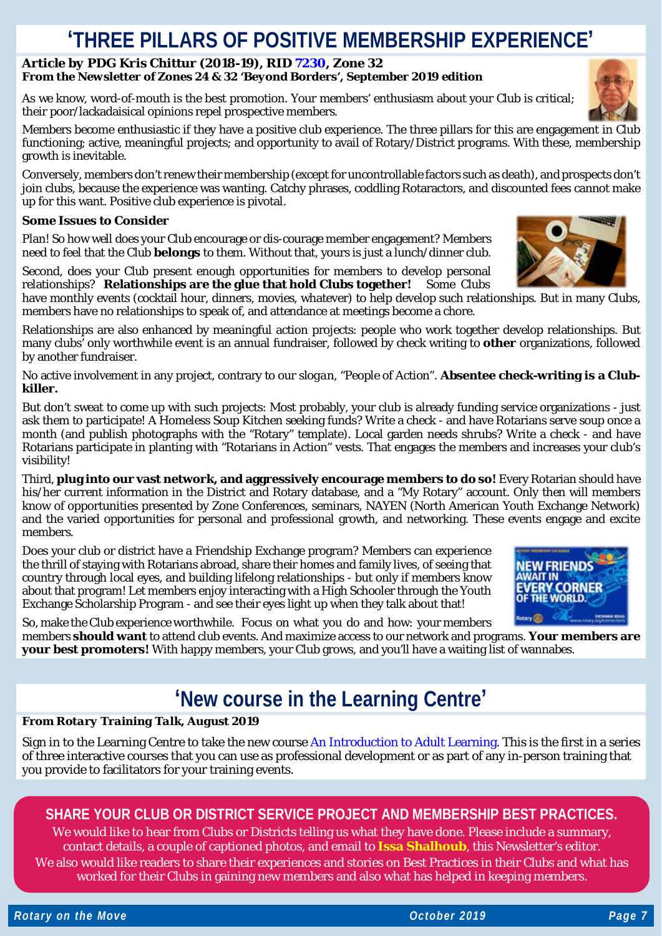### **'THREE PILLARS OF POSITIVE MEMBERSHIP EXPERIENCE'**

#### *Article by PDG Kris Chittur (2018-19), RID [7230,](https://www.rotary7230.org/) Zone 32 From the Newsletter of Zones 24 & 32 'Beyond Borders', September 2019 edition*

As we know, word-of-mouth is the best promotion. Your members' enthusiasm about your Club is critical; their poor/lackadaisical opinions repel prospective members.

Members become enthusiastic if they have a positive club experience. The three pillars for this are engagement in Club functioning; active, meaningful projects; and opportunity to avail of Rotary/District programs. With these, membership growth is inevitable.

Conversely, members don't renew their membership (except for uncontrollable factors such as death), and prospects don't join clubs, because the experience was wanting. Catchy phrases, coddling Rotaractors, and discounted fees cannot make up for this want. Positive club experience is pivotal.

### **Some Issues to Consider**

Plan! So how well does your Club encourage or dis-courage member engagement? Members *need* to feel that the Club **belongs** to them. Without that, yours is just a lunch/dinner club.

Second, does your Club present enough opportunities for members to develop personal relationships? **Relationships are the glue that hold Clubs together!** Some Clubs

have monthly events (cocktail hour, dinners, movies, whatever) to help develop such relationships. But in many Clubs, members have no relationships to speak of, and attendance at meetings become a chore.

Relationships are also enhanced by meaningful action projects: people who work together develop relationships. But many clubs' only worthwhile event is an annual fundraiser, followed by check writing to **other** organizations, followed by another fundraiser.

No active involvement in any project, contrary to our *slogan*, "People of Action". **Absentee check-writing is a Clubkiller.**

But don't sweat to come up with such projects: Most probably, your club is already funding service organizations - just ask them to participate! A Homeless Soup Kitchen seeking funds? Write a check - and have Rotarians serve soup once a month (and publish photographs with the "Rotary" template). Local garden needs shrubs? Write a check - and have Rotarians participate in planting with "Rotarians in Action" vests. That engages the members and increases your club's visibility!

Third, **plug into our vast network, and aggressively encourage members to do so!** Every Rotarian should have his/her current information in the District and Rotary database, and a "My Rotary" account. Only then will members know of opportunities presented by Zone Conferences, seminars, NAYEN (North American Youth Exchange Network) and the varied opportunities for personal and professional growth, and networking. These events engage and excite members.

Does your club or district have a Friendship Exchange program? Members can experience the thrill of staying with Rotarians abroad, share their homes and family lives, of seeing that country through local eyes, and building lifelong relationships - but only if members know about that program! Let members enjoy interacting with a High Schooler through the Youth Exchange Scholarship Program - and see their eyes light up when they talk about that!

So, make the Club experience worthwhile. Focus on what you do and how: your members members **should want** to attend club events. And maximize access to our network and programs. **Your members are your best promoters!** With happy members, your Club grows, and you'll have a waiting list of wannabes.

# **'New course in the Learning Centre'**

#### *From Rotary Training Talk, August 2019*

Sign in to the Learning Centre to take the new course [An Introduction to Adult Learning.](http://msgfocus.rotary.org/c/15K0QqMdSBhBgeQ589cAzEalToW) This is the first in a series of three interactive courses that you can use as professional development or as part of any in-person training that you provide to facilitators for your training events.

### **SHARE YOUR CLUB OR DISTRICT SERVICE PROJECT AND MEMBERSHIP BEST PRACTICES.**

We would like to hear from Clubs or Districts telling us what they have done. Please include a summary, contact details, a couple of captioned photos, and email to **[Issa Shalhoub](mailto:drissa@bigpond.com)**, this Newsletter's editor*.* We also would like readers to share their experiences and stories on Best Practices in their Clubs and what has worked for their Clubs in gaining new members and also what has helped in keeping members.